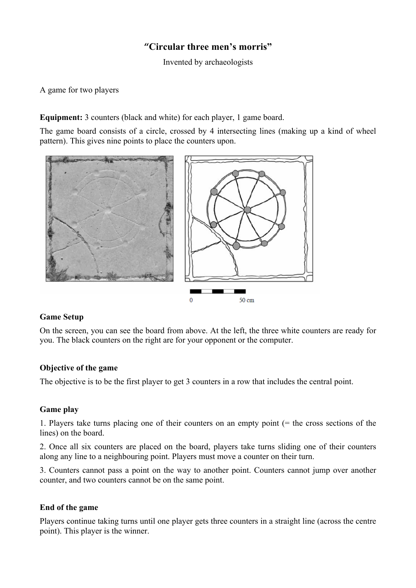# **"Circular three men's morris"**

Invented by archaeologists

A game for two players

**Equipment:** 3 counters (black and white) for each player, 1 game board.

The game board consists of a circle, crossed by 4 intersecting lines (making up a kind of wheel pattern). This gives nine points to place the counters upon.



## **Game Setup**

On the screen, you can see the board from above. At the left, the three white counters are ready for you. The black counters on the right are for your opponent or the computer.

#### **Objective of the game**

The objective is to be the first player to get 3 counters in a row that includes the central point.

#### **Game play**

1. Players take turns placing one of their counters on an empty point (= the cross sections of the lines) on the board.

2. Once all six counters are placed on the board, players take turns sliding one of their counters along any line to a neighbouring point. Players must move a counter on their turn.

3. Counters cannot pass a point on the way to another point. Counters cannot jump over another counter, and two counters cannot be on the same point.

## **End of the game**

Players continue taking turns until one player gets three counters in a straight line (across the centre point). This player is the winner.